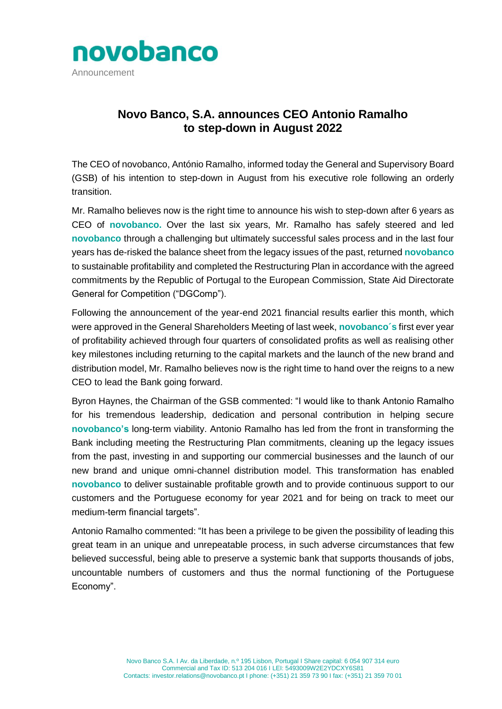

## **Novo Banco, S.A. announces CEO Antonio Ramalho to step-down in August 2022**

The CEO of novobanco, António Ramalho, informed today the General and Supervisory Board (GSB) of his intention to step-down in August from his executive role following an orderly transition.

Mr. Ramalho believes now is the right time to announce his wish to step-down after 6 years as CEO of **novobanco.** Over the last six years, Mr. Ramalho has safely steered and led **novobanco** through a challenging but ultimately successful sales process and in the last four years has de-risked the balance sheet from the legacy issues of the past, returned **novobanco** to sustainable profitability and completed the Restructuring Plan in accordance with the agreed commitments by the Republic of Portugal to the European Commission, State Aid Directorate General for Competition ("DGComp").

Following the announcement of the year-end 2021 financial results earlier this month, which were approved in the General Shareholders Meeting of last week, **novobanco´s** first ever year of profitability achieved through four quarters of consolidated profits as well as realising other key milestones including returning to the capital markets and the launch of the new brand and distribution model, Mr. Ramalho believes now is the right time to hand over the reigns to a new CEO to lead the Bank going forward.

Byron Haynes, the Chairman of the GSB commented: "I would like to thank Antonio Ramalho for his tremendous leadership, dedication and personal contribution in helping secure **novobanco's** long-term viability. Antonio Ramalho has led from the front in transforming the Bank including meeting the Restructuring Plan commitments, cleaning up the legacy issues from the past, investing in and supporting our commercial businesses and the launch of our new brand and unique omni-channel distribution model. This transformation has enabled **novobanco** to deliver sustainable profitable growth and to provide continuous support to our customers and the Portuguese economy for year 2021 and for being on track to meet our medium-term financial targets".

Antonio Ramalho commented: "It has been a privilege to be given the possibility of leading this great team in an unique and unrepeatable process, in such adverse circumstances that few believed successful, being able to preserve a systemic bank that supports thousands of jobs, uncountable numbers of customers and thus the normal functioning of the Portuguese Economy".